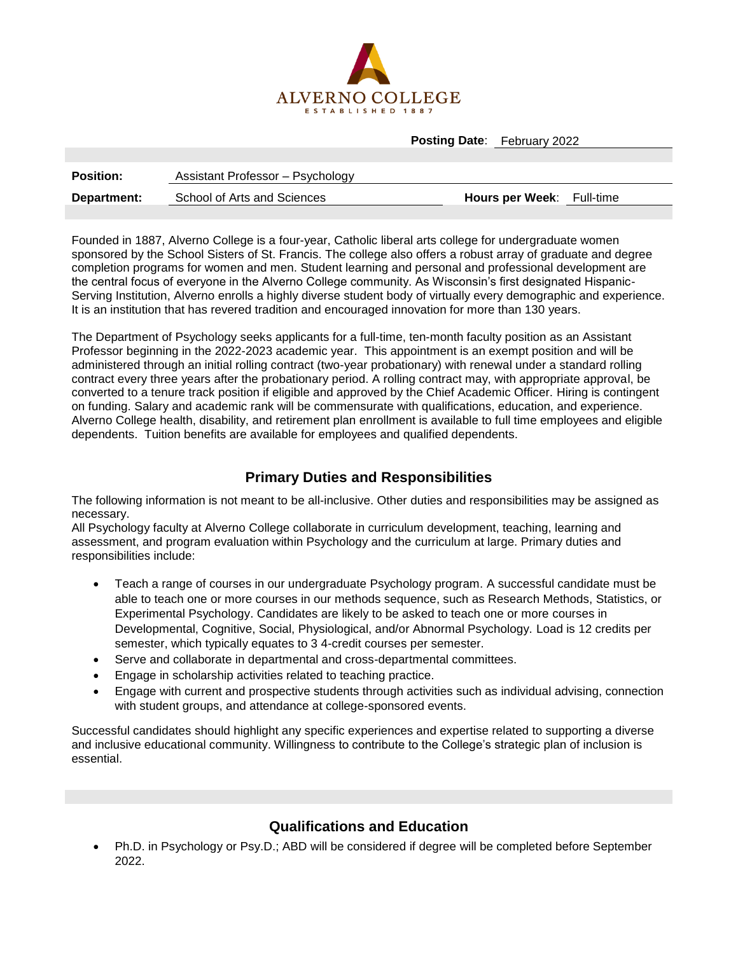

**Posting Date**: February 2022

| <b>Position:</b> | Assistant Professor – Psychology |                                  |  |
|------------------|----------------------------------|----------------------------------|--|
| Department:      | School of Arts and Sciences      | <b>Hours per Week:</b> Full-time |  |

Founded in 1887, Alverno College is a four-year, Catholic liberal arts college for undergraduate women sponsored by the School Sisters of St. Francis. The college also offers a robust array of graduate and degree completion programs for women and men. Student learning and personal and professional development are the central focus of everyone in the Alverno College community. As Wisconsin's first designated Hispanic-Serving Institution, Alverno enrolls a highly diverse student body of virtually every demographic and experience. It is an institution that has revered tradition and encouraged innovation for more than 130 years.

The Department of Psychology seeks applicants for a full-time, ten-month faculty position as an Assistant Professor beginning in the 2022-2023 academic year. This appointment is an exempt position and will be administered through an initial rolling contract (two-year probationary) with renewal under a standard rolling contract every three years after the probationary period. A rolling contract may, with appropriate approval, be converted to a tenure track position if eligible and approved by the Chief Academic Officer. Hiring is contingent on funding. Salary and academic rank will be commensurate with qualifications, education, and experience. Alverno College health, disability, and retirement plan enrollment is available to full time employees and eligible dependents. Tuition benefits are available for employees and qualified dependents.

## **Primary Duties and Responsibilities**

The following information is not meant to be all-inclusive. Other duties and responsibilities may be assigned as necessary.

All Psychology faculty at Alverno College collaborate in curriculum development, teaching, learning and assessment, and program evaluation within Psychology and the curriculum at large. Primary duties and responsibilities include:

- Teach a range of courses in our undergraduate Psychology program. A successful candidate must be able to teach one or more courses in our methods sequence, such as Research Methods, Statistics, or Experimental Psychology. Candidates are likely to be asked to teach one or more courses in Developmental, Cognitive, Social, Physiological, and/or Abnormal Psychology. Load is 12 credits per semester, which typically equates to 3 4-credit courses per semester.
- Serve and collaborate in departmental and cross-departmental committees.
- Engage in scholarship activities related to teaching practice.
- Engage with current and prospective students through activities such as individual advising, connection with student groups, and attendance at college-sponsored events.

Successful candidates should highlight any specific experiences and expertise related to supporting a diverse and inclusive educational community. Willingness to contribute to the College's strategic plan of inclusion is essential.

## **Qualifications and Education**

 Ph.D. in Psychology or Psy.D.; ABD will be considered if degree will be completed before September 2022.